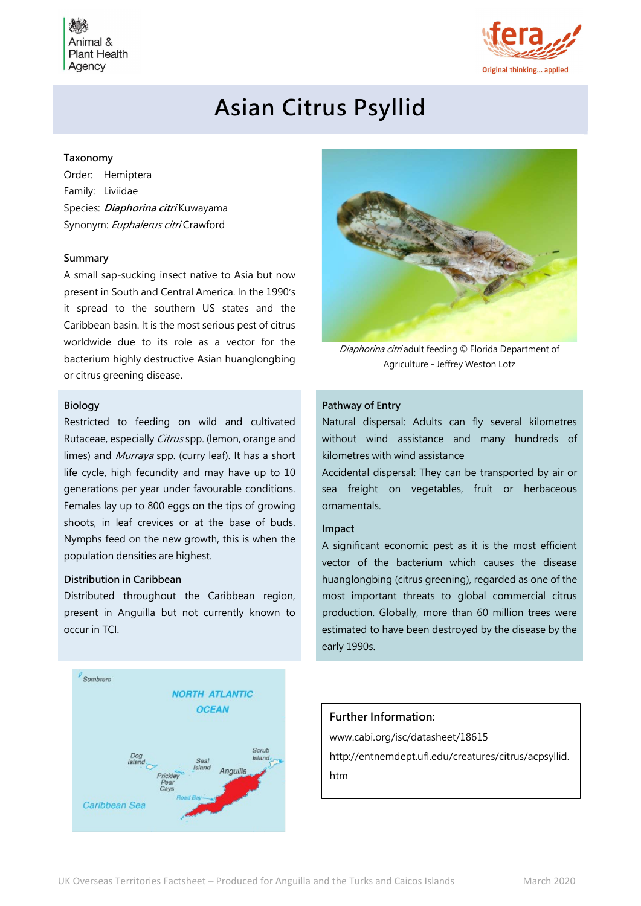Animal & **Plant Health** Agency



# Asian Citrus Psyllid

# Taxonomy

Order: Hemiptera Family: Liviidae Species: *Diaphorina citri* Kuwayama Synonym: Euphalerus citri Crawford

#### Summary

A small sap-sucking insect native to Asia but now present in South and Central America. In the 1990's it spread to the southern US states and the Caribbean basin. It is the most serious pest of citrus worldwide due to its role as a vector for the bacterium highly destructive Asian huanglongbing or citrus greening disease.

# Biology

Restricted to feeding on wild and cultivated Rutaceae, especially *Citrus* spp. (lemon, orange and limes) and *Murraya* spp. (curry leaf). It has a short life cycle, high fecundity and may have up to 10 generations per year under favourable conditions. Females lay up to 800 eggs on the tips of growing shoots, in leaf crevices or at the base of buds. Nymphs feed on the new growth, this is when the population densities are highest.

#### Distribution in Caribbean

Distributed throughout the Caribbean region, present in Anguilla but not currently known to occur in TCI.





Diaphorina citri adult feeding © Florida Department of Agriculture - Jeffrey Weston Lotz

# Pathway of Entry

Natural dispersal: Adults can fly several kilometres without wind assistance and many hundreds of kilometres with wind assistance

Accidental dispersal: They can be transported by air or sea freight on vegetables, fruit or herbaceous ornamentals.

# Impact

A significant economic pest as it is the most efficient vector of the bacterium which causes the disease huanglongbing (citrus greening), regarded as one of the most important threats to global commercial citrus production. Globally, more than 60 million trees were estimated to have been destroyed by the disease by the early 1990s.

# Further Information:

www.cabi.org/isc/datasheet/18615 http://entnemdept.ufl.edu/creatures/citrus/acpsyllid. htm